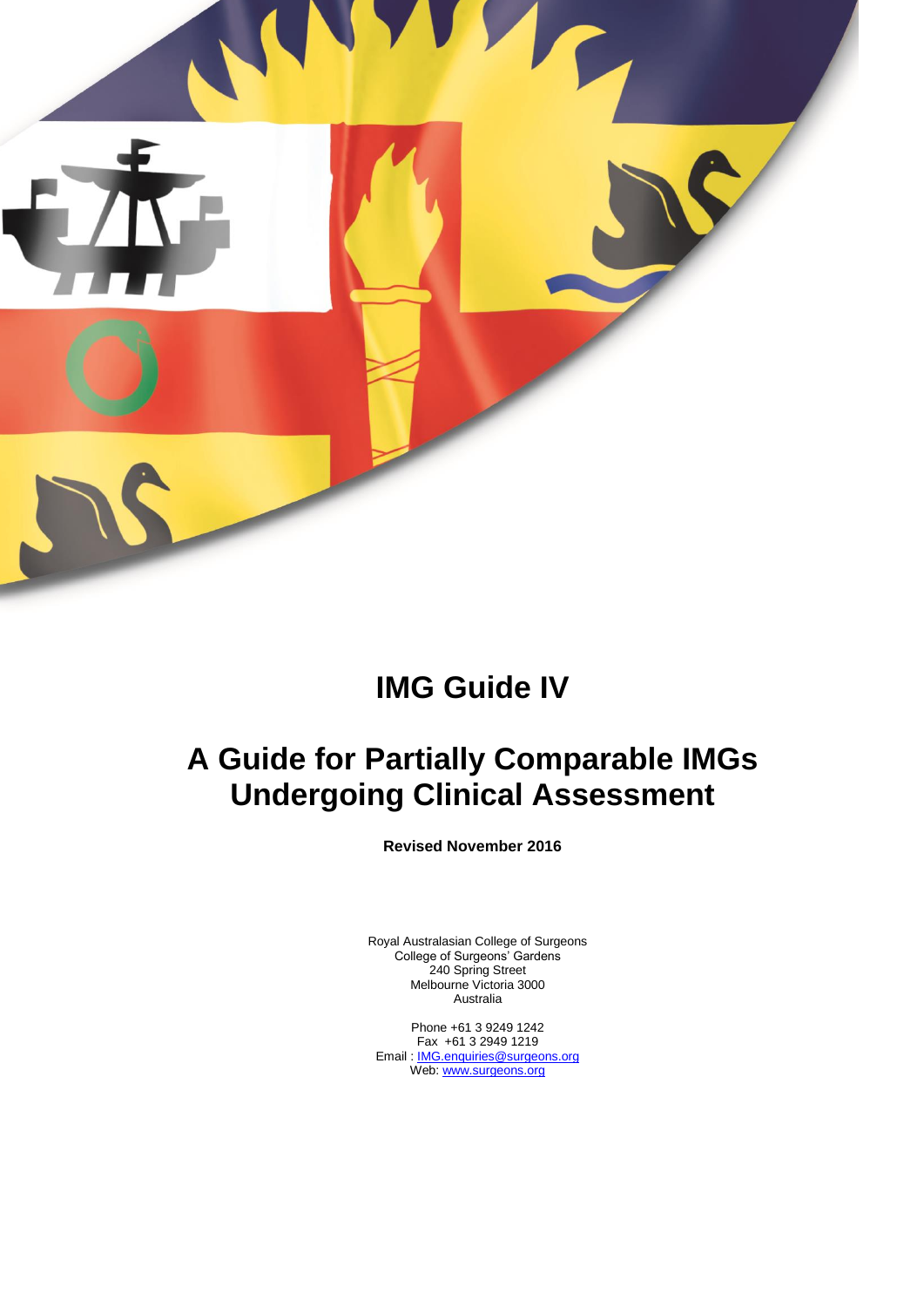

# **IMG Guide IV**

# **A Guide for Partially Comparable IMGs Undergoing Clinical Assessment**

**Revised November 2016**

Royal Australasian College of Surgeons College of Surgeons' Gardens 240 Spring Street Melbourne Victoria 3000 Australia

Phone +61 3 9249 1242 Fax +61 3 2949 1219 Email: **[IMG.enquiries@surgeons.org](mailto:IMG.enquiries@surgeons.org)** Web[: www.surgeons.org](http://www.surgeons.org/)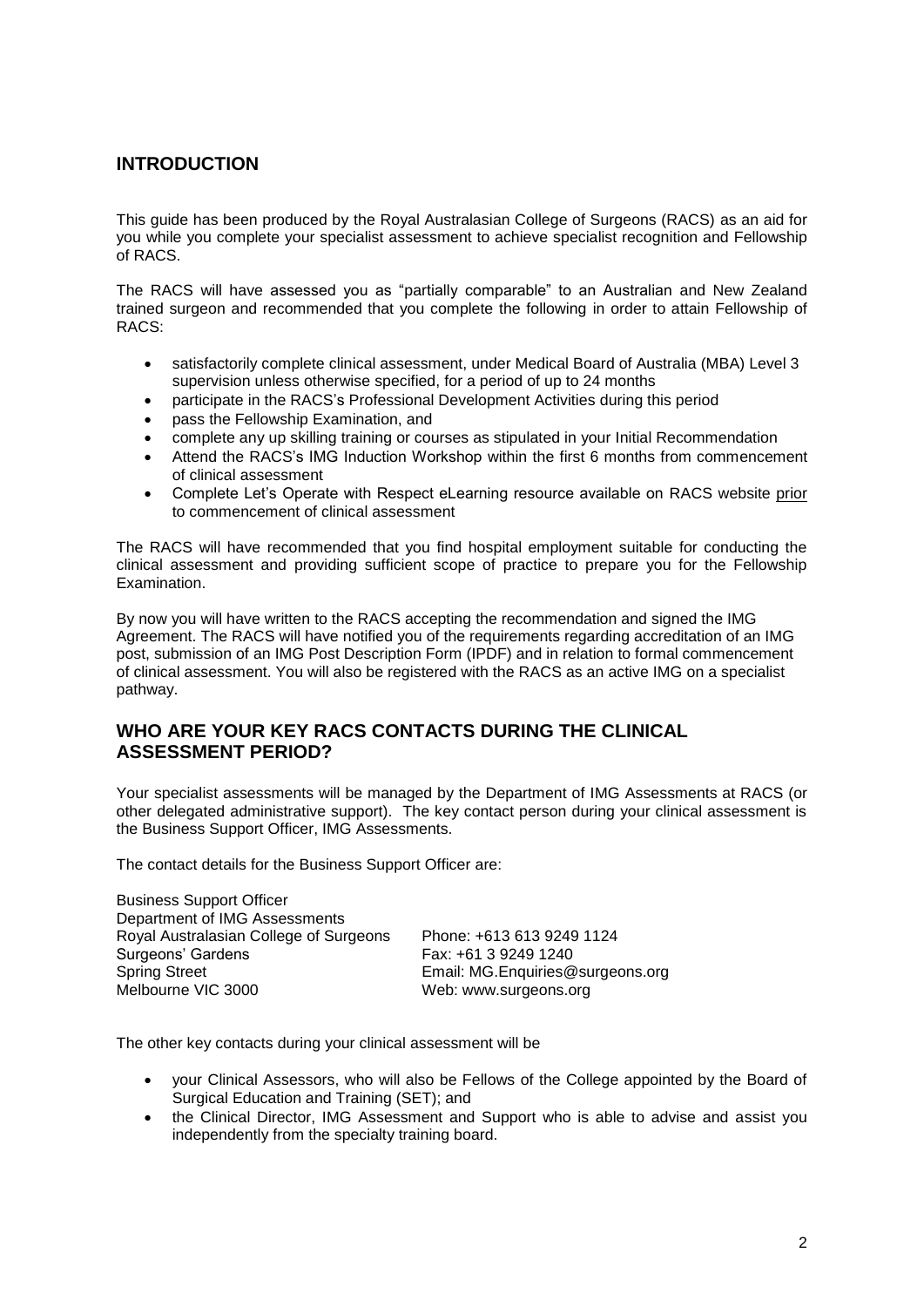### **INTRODUCTION**

This guide has been produced by the Royal Australasian College of Surgeons (RACS) as an aid for you while you complete your specialist assessment to achieve specialist recognition and Fellowship of RACS.

The RACS will have assessed you as "partially comparable" to an Australian and New Zealand trained surgeon and recommended that you complete the following in order to attain Fellowship of RACS:

- satisfactorily complete clinical assessment, under Medical Board of Australia (MBA) Level 3 supervision unless otherwise specified, for a period of up to 24 months
- participate in the RACS's Professional Development Activities during this period
- pass the Fellowship Examination, and
- complete any up skilling training or courses as stipulated in your Initial Recommendation
- Attend the RACS's IMG Induction Workshop within the first 6 months from commencement of clinical assessment
- Complete Let's Operate with Respect eLearning resource available on RACS website prior to commencement of clinical assessment

The RACS will have recommended that you find hospital employment suitable for conducting the clinical assessment and providing sufficient scope of practice to prepare you for the Fellowship Examination.

By now you will have written to the RACS accepting the recommendation and signed the IMG Agreement. The RACS will have notified you of the requirements regarding accreditation of an IMG post, submission of an IMG Post Description Form (IPDF) and in relation to formal commencement of clinical assessment. You will also be registered with the RACS as an active IMG on a specialist pathway.

#### **WHO ARE YOUR KEY RACS CONTACTS DURING THE CLINICAL ASSESSMENT PERIOD?**

Your specialist assessments will be managed by the Department of IMG Assessments at RACS (or other delegated administrative support). The key contact person during your clinical assessment is the Business Support Officer, IMG Assessments.

The contact details for the Business Support Officer are:

Business Support Officer Department of IMG Assessments Royal Australasian College of Surgeons Phone: +613 613 9249 1124 Surgeons' Gardens **Fax: +61 3 9249 1240** Spring Street **Email: MG.Enquiries@surgeons.org** Melbourne VIC 3000 Web: www.surgeons.org

The other key contacts during your clinical assessment will be

- your Clinical Assessors, who will also be Fellows of the College appointed by the Board of Surgical Education and Training (SET); and
- the Clinical Director, IMG Assessment and Support who is able to advise and assist you independently from the specialty training board.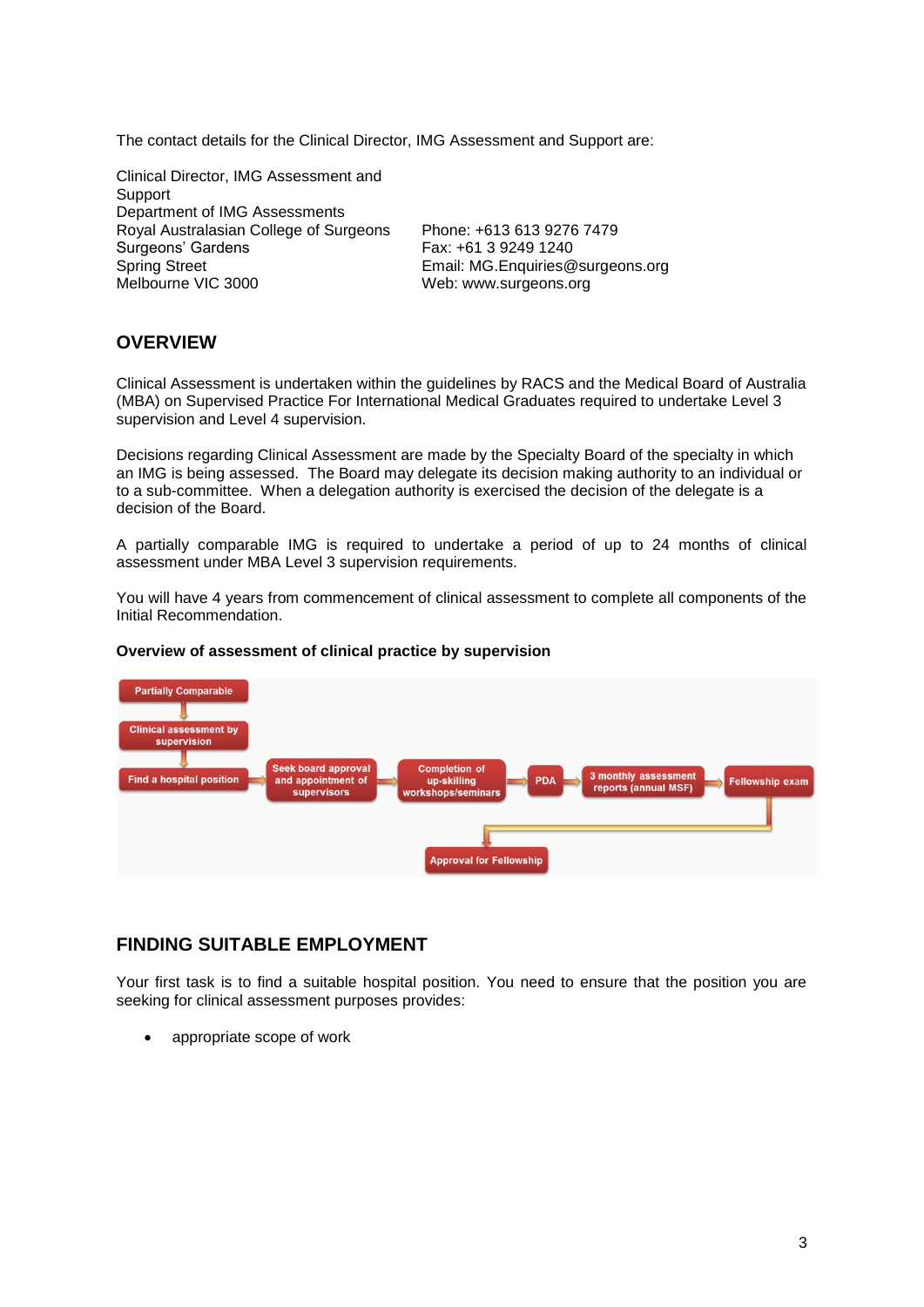The contact details for the Clinical Director, IMG Assessment and Support are:

Clinical Director, IMG Assessment and Support Department of IMG Assessments Royal Australasian College of Surgeons Phone: +613 613 9276 7479 Surgeons' Gardens Fax: +61 3 9249 1240<br>Spring Street Fax: +61 3 9249 1240 Spring Street **Email: MG.Enquiries@surgeons.org**<br>Melbourne VIC 3000 Meb: www.surgeons.org

Web: www.surgeons.org

#### **OVERVIEW**

Clinical Assessment is undertaken within the guidelines by RACS and the Medical Board of Australia (MBA) on Supervised Practice For International Medical Graduates required to undertake Level 3 supervision and Level 4 supervision.

Decisions regarding Clinical Assessment are made by the Specialty Board of the specialty in which an IMG is being assessed. The Board may delegate its decision making authority to an individual or to a sub-committee. When a delegation authority is exercised the decision of the delegate is a decision of the Board.

A partially comparable IMG is required to undertake a period of up to 24 months of clinical assessment under MBA Level 3 supervision requirements.

You will have 4 years from commencement of clinical assessment to complete all components of the Initial Recommendation.





#### **FINDING SUITABLE EMPLOYMENT**

Your first task is to find a suitable hospital position. You need to ensure that the position you are seeking for clinical assessment purposes provides:

appropriate scope of work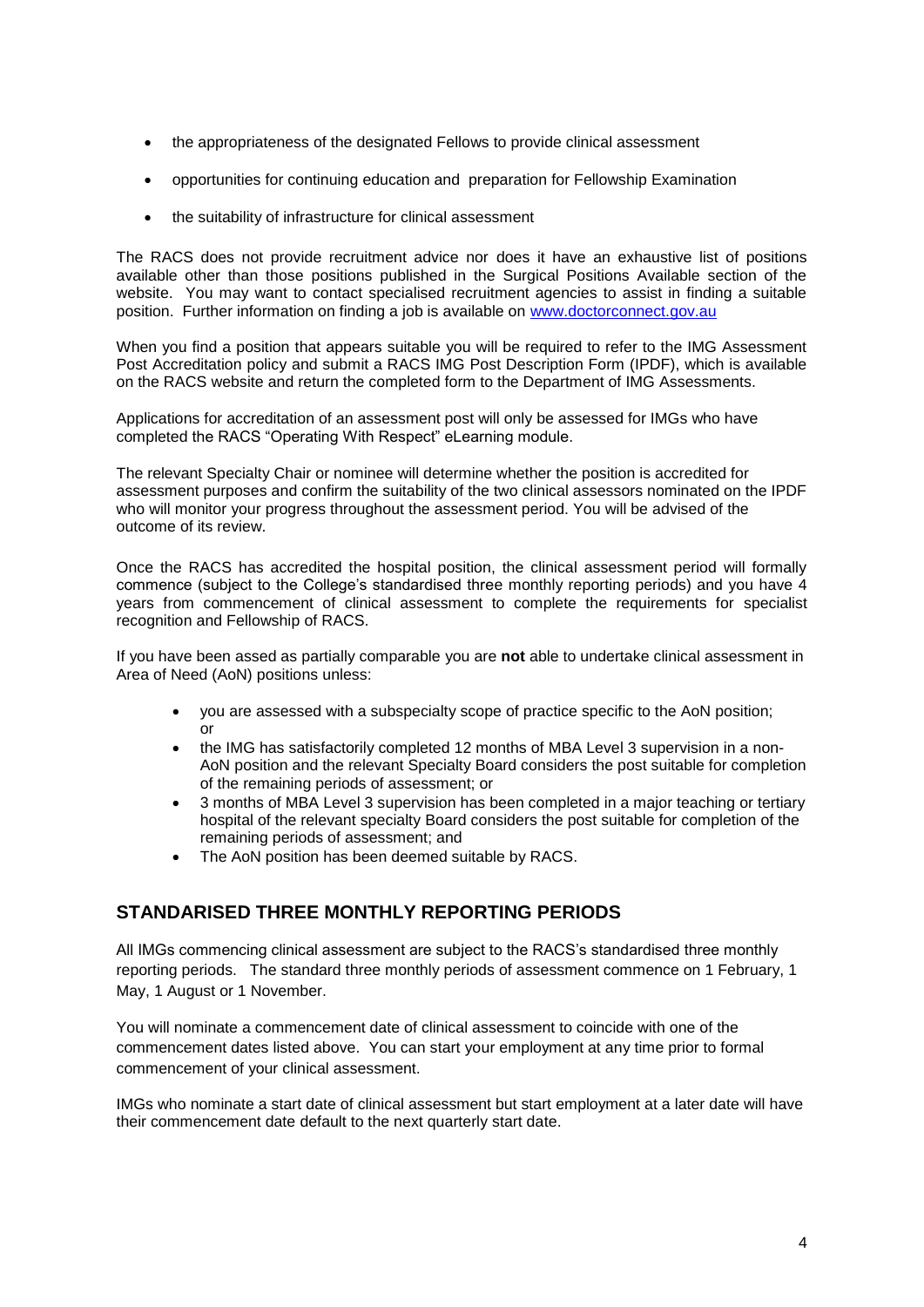- the appropriateness of the designated Fellows to provide clinical assessment
- opportunities for continuing education and preparation for Fellowship Examination
- the suitability of infrastructure for clinical assessment

The RACS does not provide recruitment advice nor does it have an exhaustive list of positions available other than those positions published in the Surgical Positions Available section of the website. You may want to contact specialised recruitment agencies to assist in finding a suitable position. Further information on finding a job is available on [www.doctorconnect.gov.au](http://www.doctorconnect.gov.au/)

When you find a position that appears suitable you will be required to refer to the IMG Assessment Post Accreditation policy and submit a RACS IMG Post Description Form (IPDF), which is available on the RACS website and return the completed form to the Department of IMG Assessments.

Applications for accreditation of an assessment post will only be assessed for IMGs who have completed the RACS "Operating With Respect" eLearning module.

The relevant Specialty Chair or nominee will determine whether the position is accredited for assessment purposes and confirm the suitability of the two clinical assessors nominated on the IPDF who will monitor your progress throughout the assessment period. You will be advised of the outcome of its review.

Once the RACS has accredited the hospital position, the clinical assessment period will formally commence (subject to the College's standardised three monthly reporting periods) and you have 4 years from commencement of clinical assessment to complete the requirements for specialist recognition and Fellowship of RACS.

If you have been assed as partially comparable you are **not** able to undertake clinical assessment in Area of Need (AoN) positions unless:

- you are assessed with a subspecialty scope of practice specific to the AoN position; or
- the IMG has satisfactorily completed 12 months of MBA Level 3 supervision in a non-AoN position and the relevant Specialty Board considers the post suitable for completion of the remaining periods of assessment; or
- 3 months of MBA Level 3 supervision has been completed in a major teaching or tertiary hospital of the relevant specialty Board considers the post suitable for completion of the remaining periods of assessment; and
- The AoN position has been deemed suitable by RACS.

#### **STANDARISED THREE MONTHLY REPORTING PERIODS**

All IMGs commencing clinical assessment are subject to the RACS's standardised three monthly reporting periods. The standard three monthly periods of assessment commence on 1 February, 1 May, 1 August or 1 November.

You will nominate a commencement date of clinical assessment to coincide with one of the commencement dates listed above. You can start your employment at any time prior to formal commencement of your clinical assessment.

IMGs who nominate a start date of clinical assessment but start employment at a later date will have their commencement date default to the next quarterly start date.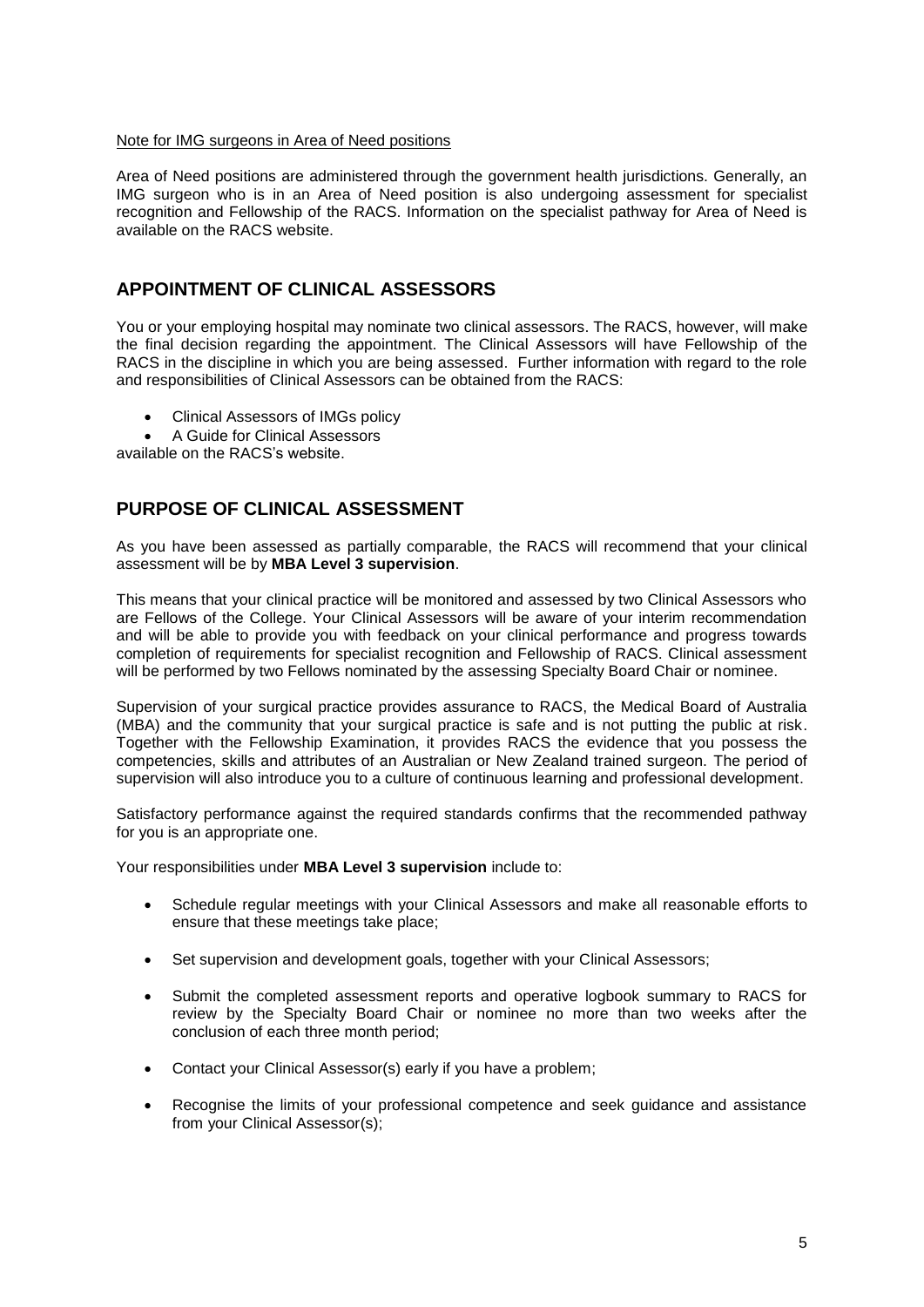#### Note for IMG surgeons in Area of Need positions

Area of Need positions are administered through the government health jurisdictions. Generally, an IMG surgeon who is in an Area of Need position is also undergoing assessment for specialist recognition and Fellowship of the RACS. Information on the specialist pathway for Area of Need is available on the RACS website.

#### **APPOINTMENT OF CLINICAL ASSESSORS**

You or your employing hospital may nominate two clinical assessors. The RACS, however, will make the final decision regarding the appointment. The Clinical Assessors will have Fellowship of the RACS in the discipline in which you are being assessed. Further information with regard to the role and responsibilities of Clinical Assessors can be obtained from the RACS:

- Clinical Assessors of IMGs policy
- A Guide for Clinical Assessors

available on the RACS's website.

#### **PURPOSE OF CLINICAL ASSESSMENT**

As you have been assessed as partially comparable, the RACS will recommend that your clinical assessment will be by **MBA Level 3 supervision**.

This means that your clinical practice will be monitored and assessed by two Clinical Assessors who are Fellows of the College. Your Clinical Assessors will be aware of your interim recommendation and will be able to provide you with feedback on your clinical performance and progress towards completion of requirements for specialist recognition and Fellowship of RACS. Clinical assessment will be performed by two Fellows nominated by the assessing Specialty Board Chair or nominee.

Supervision of your surgical practice provides assurance to RACS, the Medical Board of Australia (MBA) and the community that your surgical practice is safe and is not putting the public at risk. Together with the Fellowship Examination, it provides RACS the evidence that you possess the competencies, skills and attributes of an Australian or New Zealand trained surgeon. The period of supervision will also introduce you to a culture of continuous learning and professional development.

Satisfactory performance against the required standards confirms that the recommended pathway for you is an appropriate one.

Your responsibilities under **MBA Level 3 supervision** include to:

- Schedule regular meetings with your Clinical Assessors and make all reasonable efforts to ensure that these meetings take place;
- Set supervision and development goals, together with your Clinical Assessors;
- Submit the completed assessment reports and operative logbook summary to RACS for review by the Specialty Board Chair or nominee no more than two weeks after the conclusion of each three month period;
- Contact your Clinical Assessor(s) early if you have a problem;
- Recognise the limits of your professional competence and seek guidance and assistance from your Clinical Assessor(s);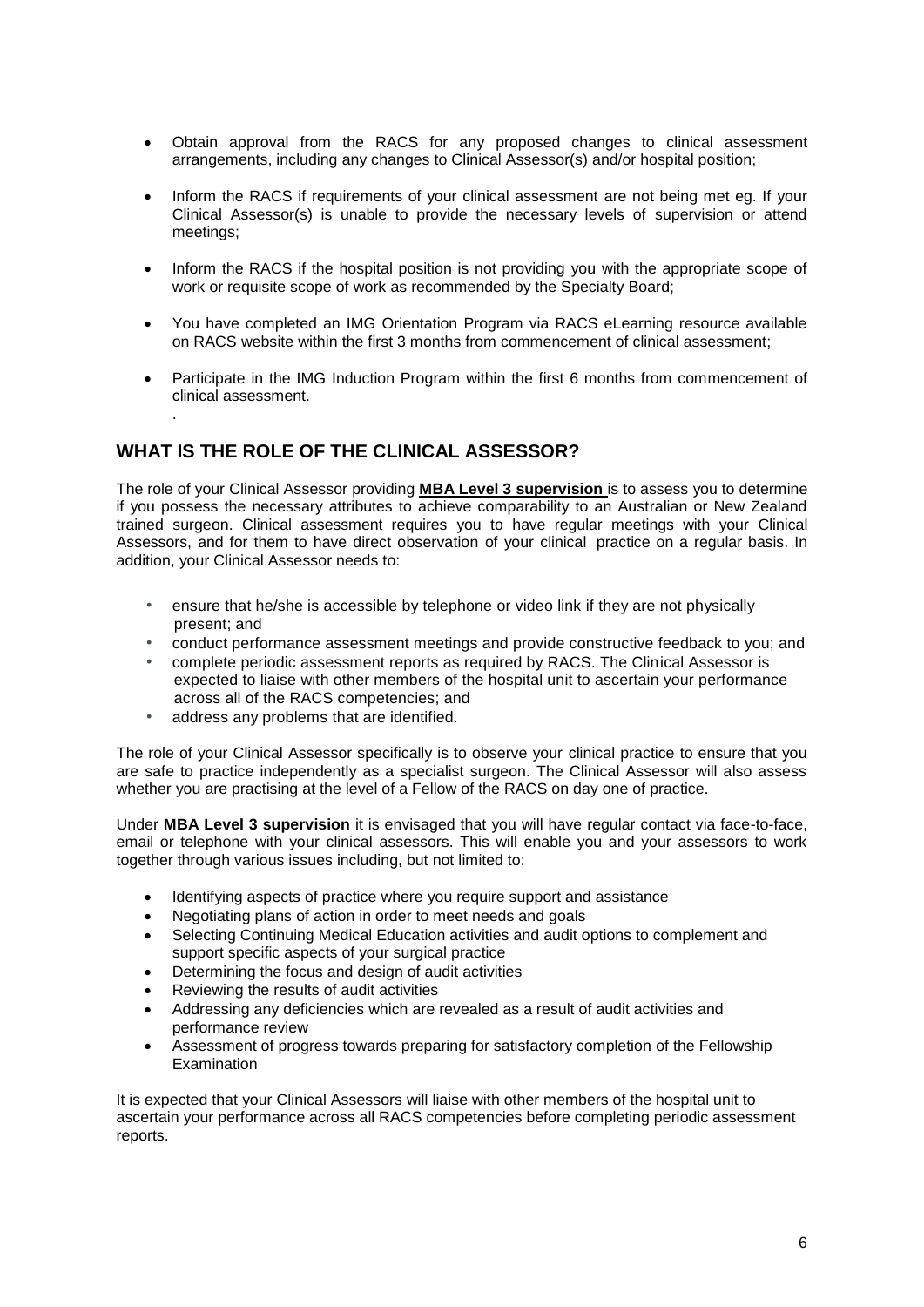- Obtain approval from the RACS for any proposed changes to clinical assessment arrangements, including any changes to Clinical Assessor(s) and/or hospital position;
- Inform the RACS if requirements of your clinical assessment are not being met eg. If your Clinical Assessor(s) is unable to provide the necessary levels of supervision or attend meetings;
- Inform the RACS if the hospital position is not providing you with the appropriate scope of work or requisite scope of work as recommended by the Specialty Board;
- You have completed an IMG Orientation Program via RACS eLearning resource available on RACS website within the first 3 months from commencement of clinical assessment;
- Participate in the IMG Induction Program within the first 6 months from commencement of clinical assessment.

## **WHAT IS THE ROLE OF THE CLINICAL ASSESSOR?**

.

The role of your Clinical Assessor providing **MBA Level 3 supervision** is to assess you to determine if you possess the necessary attributes to achieve comparability to an Australian or New Zealand trained surgeon. Clinical assessment requires you to have regular meetings with your Clinical Assessors, and for them to have direct observation of your clinical practice on a regular basis. In addition, your Clinical Assessor needs to:

- ensure that he/she is accessible by telephone or video link if they are not physically present; and
- conduct performance assessment meetings and provide constructive feedback to you; and
- complete periodic assessment reports as required by RACS. The Clinical Assessor is expected to liaise with other members of the hospital unit to ascertain your performance across all of the RACS competencies; and
- address any problems that are identified.

The role of your Clinical Assessor specifically is to observe your clinical practice to ensure that you are safe to practice independently as a specialist surgeon. The Clinical Assessor will also assess whether you are practising at the level of a Fellow of the RACS on day one of practice.

Under **MBA Level 3 supervision** it is envisaged that you will have regular contact via face-to-face, email or telephone with your clinical assessors. This will enable you and your assessors to work together through various issues including, but not limited to:

- Identifying aspects of practice where you require support and assistance
- Negotiating plans of action in order to meet needs and goals
- Selecting Continuing Medical Education activities and audit options to complement and support specific aspects of your surgical practice
- Determining the focus and design of audit activities
- Reviewing the results of audit activities
- Addressing any deficiencies which are revealed as a result of audit activities and performance review
- Assessment of progress towards preparing for satisfactory completion of the Fellowship Examination

It is expected that your Clinical Assessors will liaise with other members of the hospital unit to ascertain your performance across all RACS competencies before completing periodic assessment reports.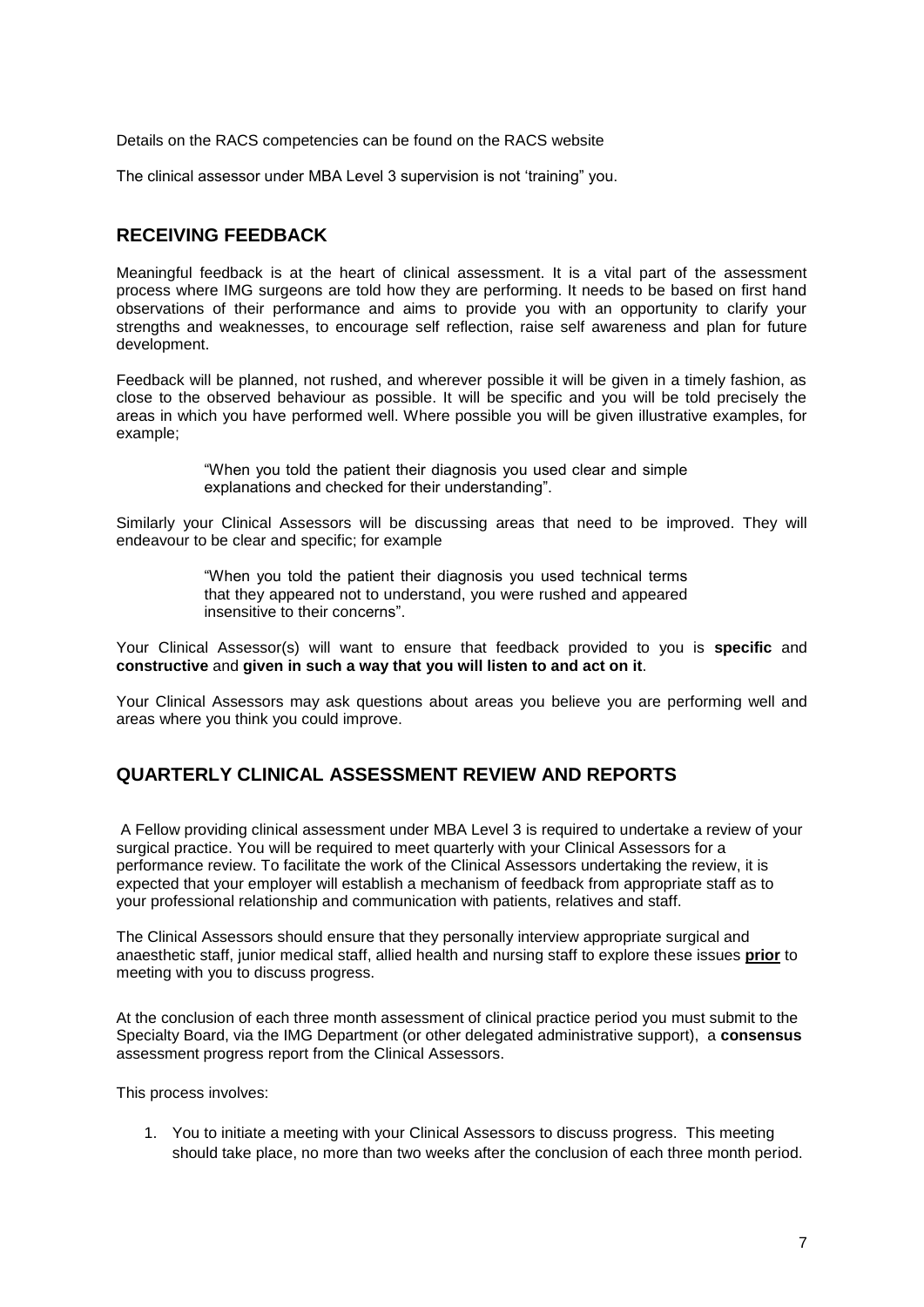Details on the RACS competencies can be found on the RACS website

The clinical assessor under MBA Level 3 supervision is not 'training" you.

#### **RECEIVING FEEDBACK**

Meaningful feedback is at the heart of clinical assessment. It is a vital part of the assessment process where IMG surgeons are told how they are performing. It needs to be based on first hand observations of their performance and aims to provide you with an opportunity to clarify your strengths and weaknesses, to encourage self reflection, raise self awareness and plan for future development.

Feedback will be planned, not rushed, and wherever possible it will be given in a timely fashion, as close to the observed behaviour as possible. It will be specific and you will be told precisely the areas in which you have performed well. Where possible you will be given illustrative examples, for example;

> "When you told the patient their diagnosis you used clear and simple explanations and checked for their understanding".

Similarly your Clinical Assessors will be discussing areas that need to be improved. They will endeavour to be clear and specific; for example

> "When you told the patient their diagnosis you used technical terms that they appeared not to understand, you were rushed and appeared insensitive to their concerns".

Your Clinical Assessor(s) will want to ensure that feedback provided to you is **specific** and **constructive** and **given in such a way that you will listen to and act on it**.

Your Clinical Assessors may ask questions about areas you believe you are performing well and areas where you think you could improve.

### **QUARTERLY CLINICAL ASSESSMENT REVIEW AND REPORTS**

A Fellow providing clinical assessment under MBA Level 3 is required to undertake a review of your surgical practice. You will be required to meet quarterly with your Clinical Assessors for a performance review. To facilitate the work of the Clinical Assessors undertaking the review, it is expected that your employer will establish a mechanism of feedback from appropriate staff as to your professional relationship and communication with patients, relatives and staff.

The Clinical Assessors should ensure that they personally interview appropriate surgical and anaesthetic staff, junior medical staff, allied health and nursing staff to explore these issues **prior** to meeting with you to discuss progress.

At the conclusion of each three month assessment of clinical practice period you must submit to the Specialty Board, via the IMG Department (or other delegated administrative support), a **consensus** assessment progress report from the Clinical Assessors.

This process involves:

1. You to initiate a meeting with your Clinical Assessors to discuss progress. This meeting should take place, no more than two weeks after the conclusion of each three month period.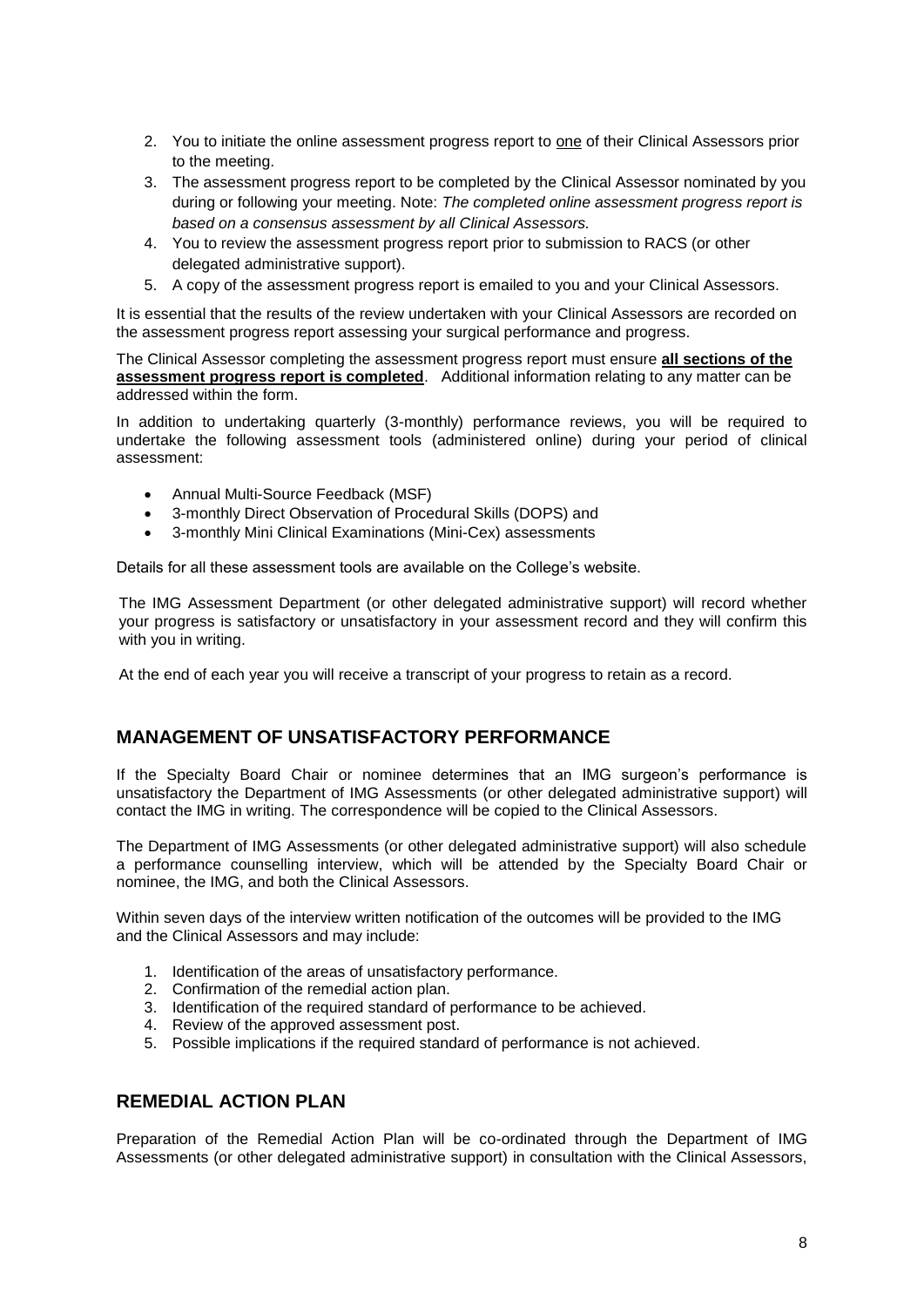- 2. You to initiate the online assessment progress report to one of their Clinical Assessors prior to the meeting.
- 3. The assessment progress report to be completed by the Clinical Assessor nominated by you during or following your meeting. Note: *The completed online assessment progress report is based on a consensus assessment by all Clinical Assessors.*
- 4. You to review the assessment progress report prior to submission to RACS (or other delegated administrative support).
- 5. A copy of the assessment progress report is emailed to you and your Clinical Assessors.

It is essential that the results of the review undertaken with your Clinical Assessors are recorded on the assessment progress report assessing your surgical performance and progress.

The Clinical Assessor completing the assessment progress report must ensure **all sections of the assessment progress report is completed**. Additional information relating to any matter can be addressed within the form.

In addition to undertaking quarterly (3-monthly) performance reviews, you will be required to undertake the following assessment tools (administered online) during your period of clinical assessment:

- Annual Multi-Source Feedback (MSF)
- 3-monthly Direct Observation of Procedural Skills (DOPS) and
- 3-monthly Mini Clinical Examinations (Mini-Cex) assessments

Details for all these assessment tools are available on the College's website.

The IMG Assessment Department (or other delegated administrative support) will record whether your progress is satisfactory or unsatisfactory in your assessment record and they will confirm this with you in writing.

At the end of each year you will receive a transcript of your progress to retain as a record.

#### **MANAGEMENT OF UNSATISFACTORY PERFORMANCE**

If the Specialty Board Chair or nominee determines that an IMG surgeon's performance is unsatisfactory the Department of IMG Assessments (or other delegated administrative support) will contact the IMG in writing. The correspondence will be copied to the Clinical Assessors.

The Department of IMG Assessments (or other delegated administrative support) will also schedule a performance counselling interview, which will be attended by the Specialty Board Chair or nominee, the IMG, and both the Clinical Assessors.

Within seven days of the interview written notification of the outcomes will be provided to the IMG and the Clinical Assessors and may include:

- 1. Identification of the areas of unsatisfactory performance.
- 2. Confirmation of the remedial action plan.
- 3. Identification of the required standard of performance to be achieved.
- 4. Review of the approved assessment post.
- 5. Possible implications if the required standard of performance is not achieved.

#### **REMEDIAL ACTION PLAN**

Preparation of the Remedial Action Plan will be co-ordinated through the Department of IMG Assessments (or other delegated administrative support) in consultation with the Clinical Assessors,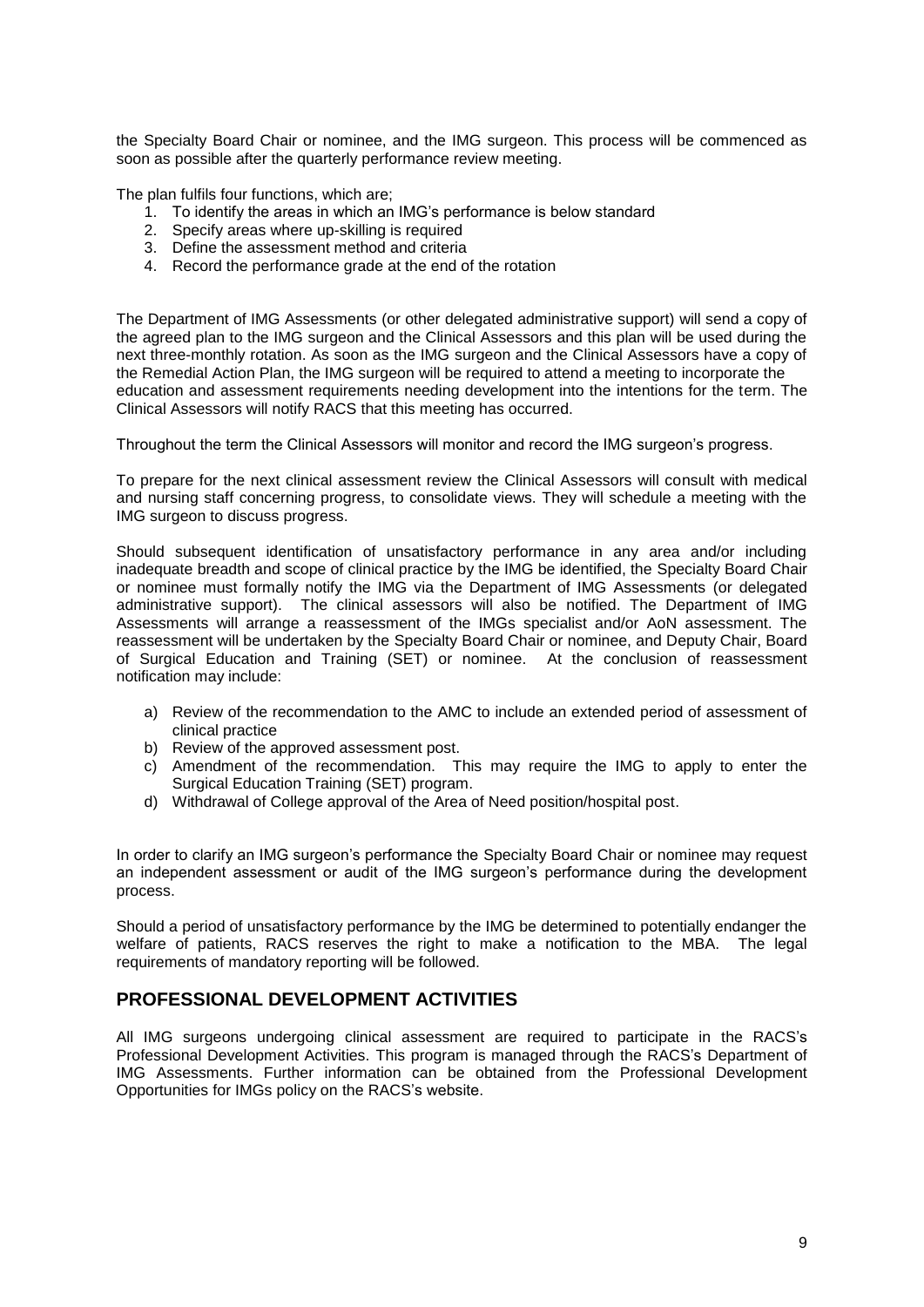the Specialty Board Chair or nominee, and the IMG surgeon. This process will be commenced as soon as possible after the quarterly performance review meeting.

The plan fulfils four functions, which are;

- 1. To identify the areas in which an IMG's performance is below standard
- 2. Specify areas where up-skilling is required
- 3. Define the assessment method and criteria
- 4. Record the performance grade at the end of the rotation

The Department of IMG Assessments (or other delegated administrative support) will send a copy of the agreed plan to the IMG surgeon and the Clinical Assessors and this plan will be used during the next three-monthly rotation. As soon as the IMG surgeon and the Clinical Assessors have a copy of the Remedial Action Plan, the IMG surgeon will be required to attend a meeting to incorporate the education and assessment requirements needing development into the intentions for the term. The Clinical Assessors will notify RACS that this meeting has occurred.

Throughout the term the Clinical Assessors will monitor and record the IMG surgeon's progress.

To prepare for the next clinical assessment review the Clinical Assessors will consult with medical and nursing staff concerning progress, to consolidate views. They will schedule a meeting with the IMG surgeon to discuss progress.

Should subsequent identification of unsatisfactory performance in any area and/or including inadequate breadth and scope of clinical practice by the IMG be identified, the Specialty Board Chair or nominee must formally notify the IMG via the Department of IMG Assessments (or delegated administrative support). The clinical assessors will also be notified. The Department of IMG Assessments will arrange a reassessment of the IMGs specialist and/or AoN assessment. The reassessment will be undertaken by the Specialty Board Chair or nominee, and Deputy Chair, Board of Surgical Education and Training (SET) or nominee. At the conclusion of reassessment notification may include:

- a) Review of the recommendation to the AMC to include an extended period of assessment of clinical practice
- b) Review of the approved assessment post.
- c) Amendment of the recommendation. This may require the IMG to apply to enter the Surgical Education Training (SET) program.
- d) Withdrawal of College approval of the Area of Need position/hospital post.

In order to clarify an IMG surgeon's performance the Specialty Board Chair or nominee may request an independent assessment or audit of the IMG surgeon's performance during the development process.

Should a period of unsatisfactory performance by the IMG be determined to potentially endanger the welfare of patients, RACS reserves the right to make a notification to the MBA. The legal requirements of mandatory reporting will be followed.

#### **PROFESSIONAL DEVELOPMENT ACTIVITIES**

All IMG surgeons undergoing clinical assessment are required to participate in the RACS's Professional Development Activities. This program is managed through the RACS's Department of IMG Assessments. Further information can be obtained from the Professional Development Opportunities for IMGs policy on the RACS's website.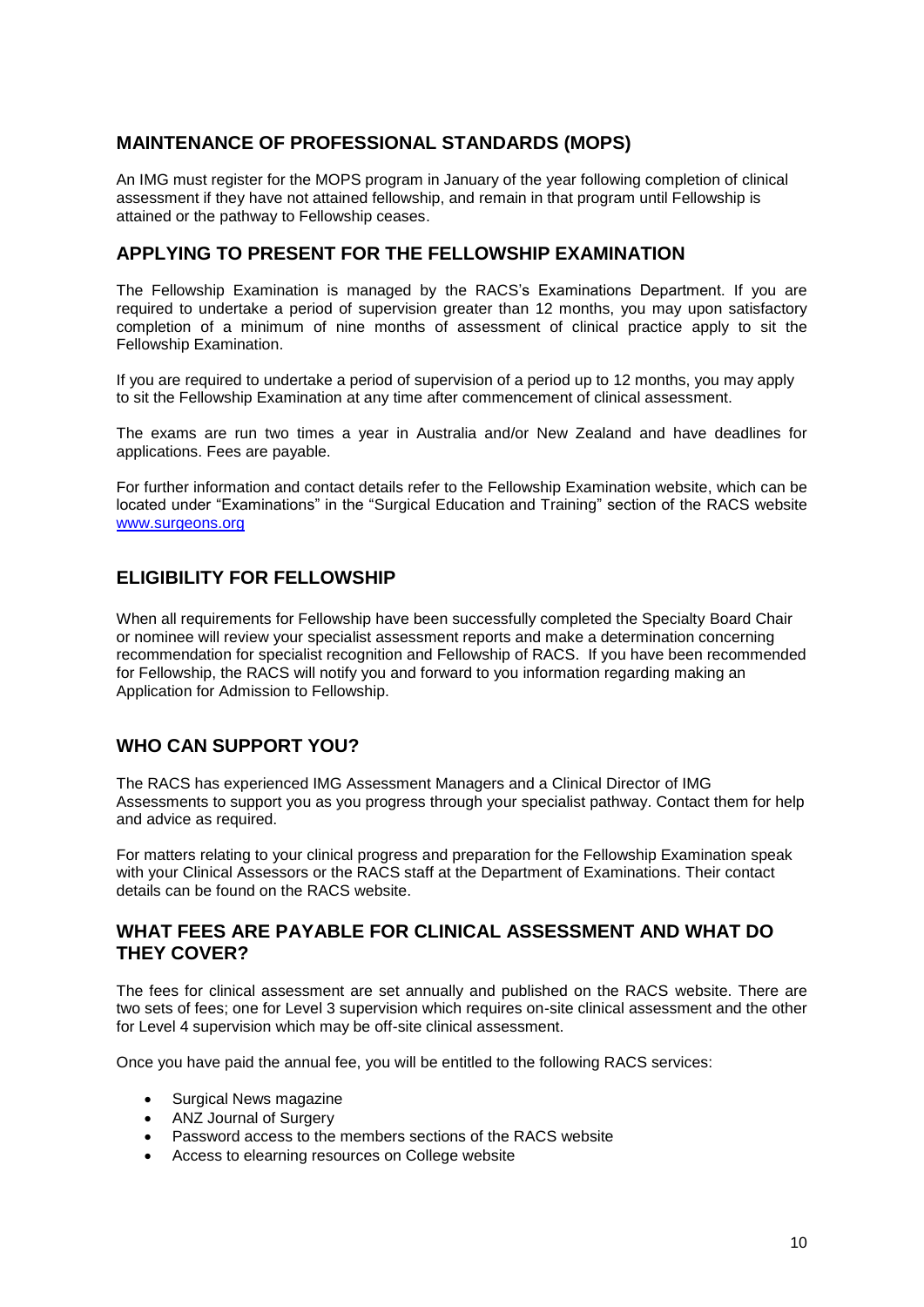#### **MAINTENANCE OF PROFESSIONAL STANDARDS (MOPS)**

An IMG must register for the MOPS program in January of the year following completion of clinical assessment if they have not attained fellowship, and remain in that program until Fellowship is attained or the pathway to Fellowship ceases.

#### **APPLYING TO PRESENT FOR THE FELLOWSHIP EXAMINATION**

The Fellowship Examination is managed by the RACS's Examinations Department. If you are required to undertake a period of supervision greater than 12 months, you may upon satisfactory completion of a minimum of nine months of assessment of clinical practice apply to sit the Fellowship Examination.

If you are required to undertake a period of supervision of a period up to 12 months, you may apply to sit the Fellowship Examination at any time after commencement of clinical assessment.

The exams are run two times a year in Australia and/or New Zealand and have deadlines for applications. Fees are payable.

For further information and contact details refer to the Fellowship Examination website, which can be located under "Examinations" in the "Surgical Education and Training" section of the RACS website [www.surgeons.org](http://www.surgeons.org/)

#### **ELIGIBILITY FOR FELLOWSHIP**

When all requirements for Fellowship have been successfully completed the Specialty Board Chair or nominee will review your specialist assessment reports and make a determination concerning recommendation for specialist recognition and Fellowship of RACS. If you have been recommended for Fellowship, the RACS will notify you and forward to you information regarding making an Application for Admission to Fellowship.

#### **WHO CAN SUPPORT YOU?**

The RACS has experienced IMG Assessment Managers and a Clinical Director of IMG Assessments to support you as you progress through your specialist pathway. Contact them for help and advice as required.

For matters relating to your clinical progress and preparation for the Fellowship Examination speak with your Clinical Assessors or the RACS staff at the Department of Examinations. Their contact details can be found on the RACS website.

#### **WHAT FEES ARE PAYABLE FOR CLINICAL ASSESSMENT AND WHAT DO THEY COVER?**

The fees for clinical assessment are set annually and published on the RACS website. There are two sets of fees; one for Level 3 supervision which requires on-site clinical assessment and the other for Level 4 supervision which may be off-site clinical assessment.

Once you have paid the annual fee, you will be entitled to the following RACS services:

- Surgical News magazine
- ANZ Journal of Surgery
- Password access to the members sections of the RACS website
- Access to elearning resources on College website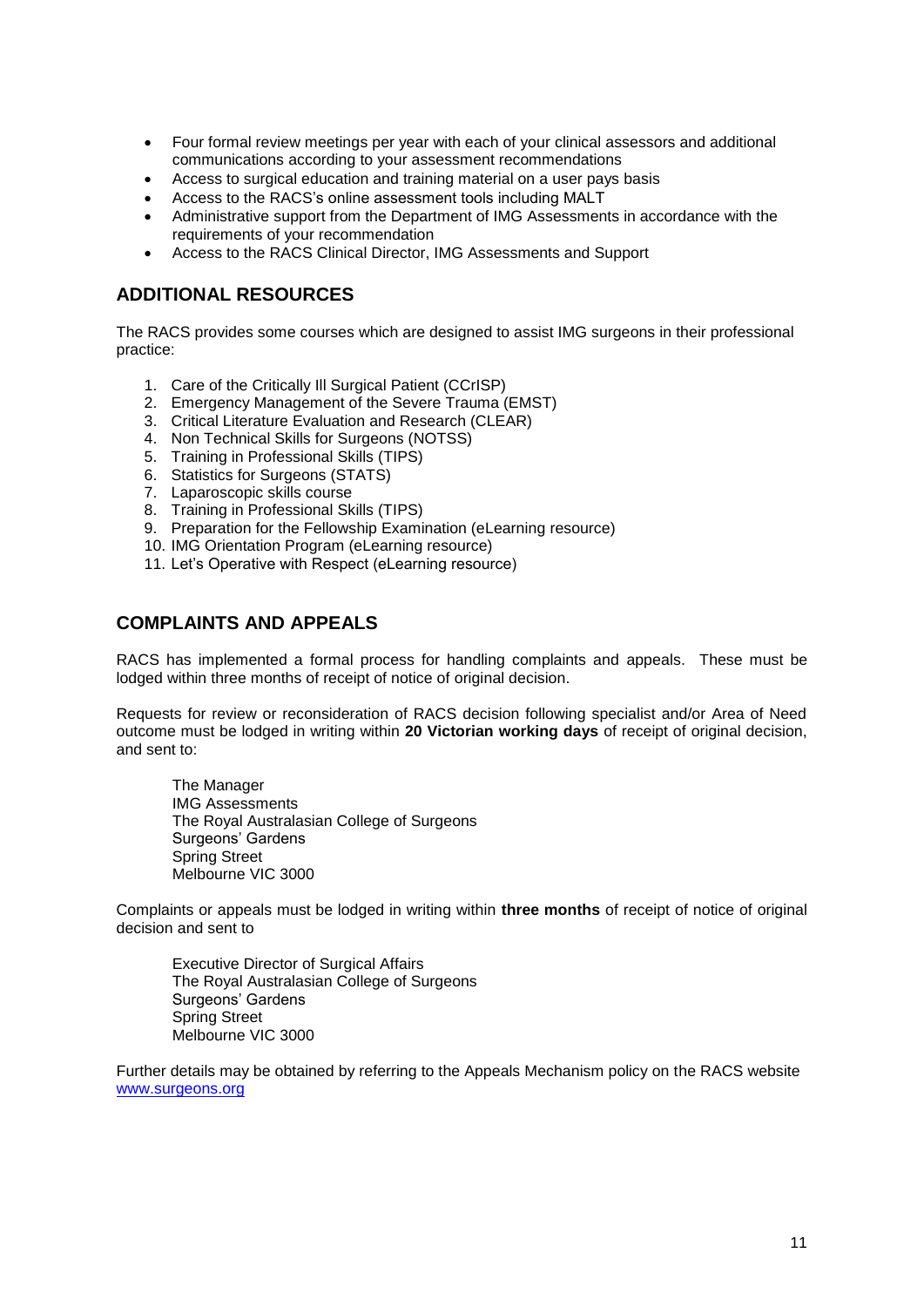- Four formal review meetings per year with each of your clinical assessors and additional communications according to your assessment recommendations
- Access to surgical education and training material on a user pays basis
- Access to the RACS's online assessment tools including MALT
- Administrative support from the Department of IMG Assessments in accordance with the requirements of your recommendation
- Access to the RACS Clinical Director, IMG Assessments and Support

#### **ADDITIONAL RESOURCES**

The RACS provides some courses which are designed to assist IMG surgeons in their professional practice:

- 1. Care of the Critically Ill Surgical Patient (CCrISP)
- 2. Emergency Management of the Severe Trauma (EMST)
- 3. Critical Literature Evaluation and Research (CLEAR)
- 4. Non Technical Skills for Surgeons (NOTSS)
- 5. Training in Professional Skills (TIPS)
- 6. Statistics for Surgeons (STATS)
- 7. Laparoscopic skills course
- 8. Training in Professional Skills (TIPS)
- 9. Preparation for the Fellowship Examination (eLearning resource)
- 10. IMG Orientation Program (eLearning resource)
- 11. Let's Operative with Respect (eLearning resource)

#### **COMPLAINTS AND APPEALS**

RACS has implemented a formal process for handling complaints and appeals. These must be lodged within three months of receipt of notice of original decision.

Requests for review or reconsideration of RACS decision following specialist and/or Area of Need outcome must be lodged in writing within **20 Victorian working days** of receipt of original decision, and sent to:

The Manager IMG Assessments The Royal Australasian College of Surgeons Surgeons' Gardens Spring Street Melbourne VIC 3000

Complaints or appeals must be lodged in writing within **three months** of receipt of notice of original decision and sent to

Executive Director of Surgical Affairs The Royal Australasian College of Surgeons Surgeons' Gardens Spring Street Melbourne VIC 3000

Further details may be obtained by referring to the Appeals Mechanism policy on the RACS website [www.surgeons.org](http://www.surgeons.org/)